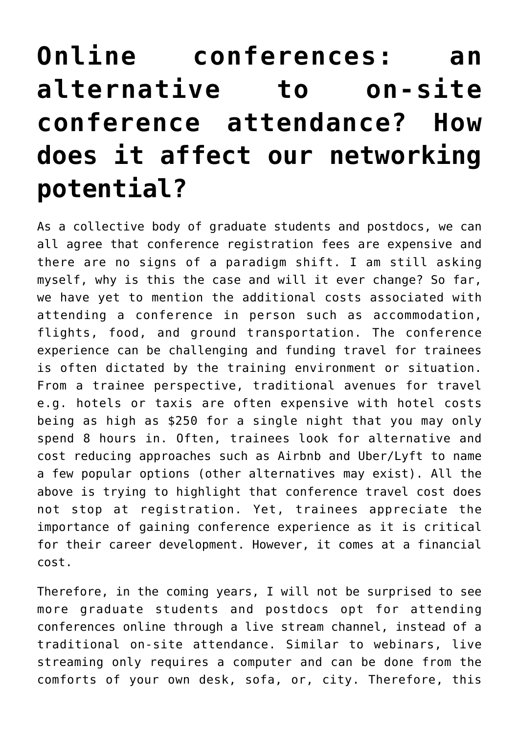## **[Online conferences: an](https://adsf.club/?p=222) [alternative to on-site](https://adsf.club/?p=222) [conference attendance? How](https://adsf.club/?p=222) [does it affect our networking](https://adsf.club/?p=222) [potential?](https://adsf.club/?p=222)**

As a collective body of graduate students and postdocs, we can all agree that conference registration fees are expensive and there are no signs of a paradigm shift. I am still asking myself, why is this the case and will it ever change? So far, we have yet to mention the additional costs associated with attending a conference in person such as accommodation, flights, food, and ground transportation. The conference experience can be challenging and funding travel for trainees is often dictated by the training environment or situation. From a trainee perspective, traditional avenues for travel e.g. hotels or taxis are often expensive with hotel costs being as high as \$250 for a single night that you may only spend 8 hours in. Often, trainees look for alternative and cost reducing approaches such as Airbnb and Uber/Lyft to name a few popular options (other alternatives may exist). All the above is trying to highlight that conference travel cost does not stop at registration. Yet, trainees appreciate the importance of gaining conference experience as it is critical for their career development. However, it comes at a financial cost.

Therefore, in the coming years, I will not be surprised to see more graduate students and postdocs opt for attending conferences online through a live stream channel, instead of a traditional on-site attendance. Similar to webinars, live streaming only requires a computer and can be done from the comforts of your own desk, sofa, or, city. Therefore, this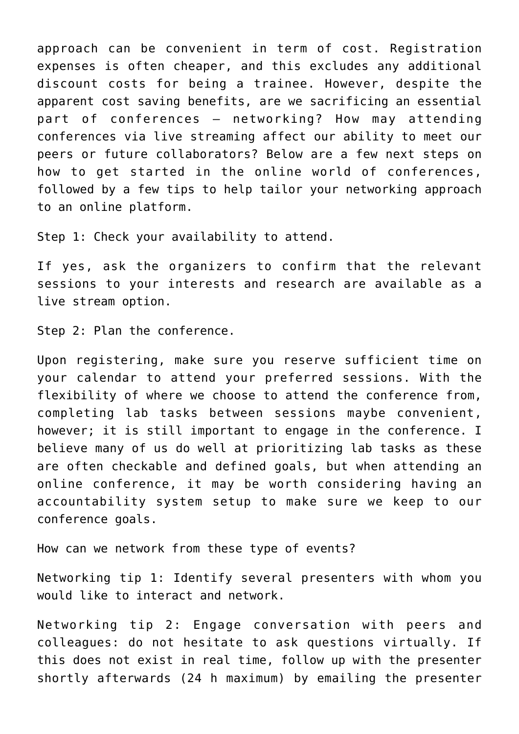approach can be convenient in term of cost. Registration expenses is often cheaper, and this excludes any additional discount costs for being a trainee. However, despite the apparent cost saving benefits, are we sacrificing an essential part of conferences – networking? How may attending conferences via live streaming affect our ability to meet our peers or future collaborators? Below are a few next steps on how to get started in the online world of conferences, followed by a few tips to help tailor your networking approach to an online platform.

Step 1: Check your availability to attend.

If yes, ask the organizers to confirm that the relevant sessions to your interests and research are available as a live stream option.

Step 2: Plan the conference.

Upon registering, make sure you reserve sufficient time on your calendar to attend your preferred sessions. With the flexibility of where we choose to attend the conference from, completing lab tasks between sessions maybe convenient, however; it is still important to engage in the conference. I believe many of us do well at prioritizing lab tasks as these are often checkable and defined goals, but when attending an online conference, it may be worth considering having an accountability system setup to make sure we keep to our conference goals.

How can we network from these type of events?

Networking tip 1: Identify several presenters with whom you would like to interact and network.

Networking tip 2: Engage conversation with peers and colleagues: do not hesitate to ask questions virtually. If this does not exist in real time, follow up with the presenter shortly afterwards (24 h maximum) by emailing the presenter